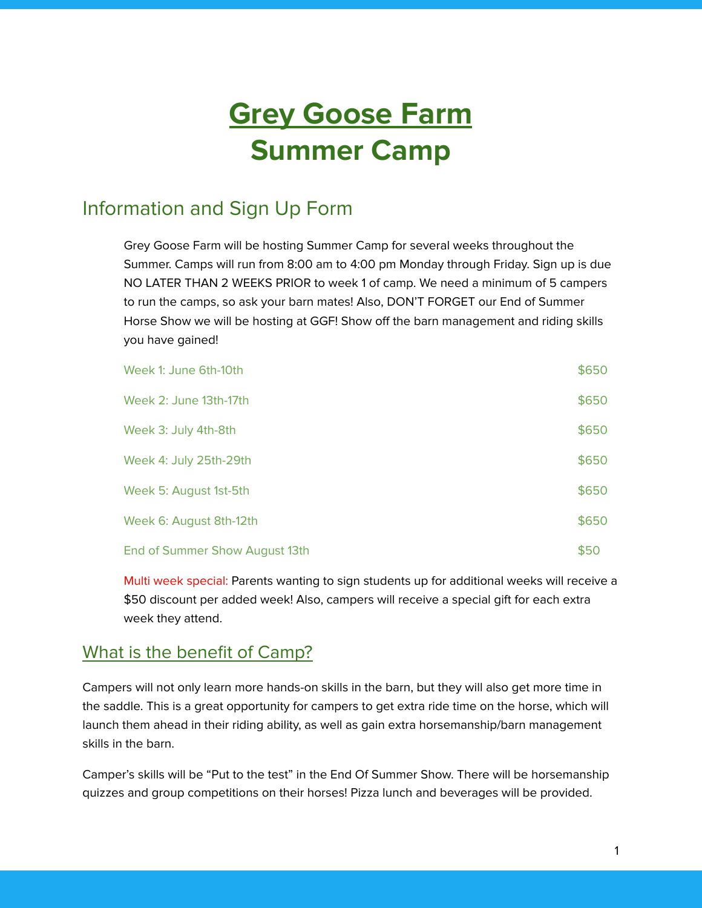# **Grey Goose Farm Summer Camp**

### Information and Sign Up Form

Grey Goose Farm will be hosting Summer Camp for several weeks throughout the Summer. Camps will run from 8:00 am to 4:00 pm Monday through Friday. Sign up is due NO LATER THAN 2 WEEKS PRIOR to week 1 of camp. We need a minimum of 5 campers to run the camps, so ask your barn mates! Also, DON'T FORGET our End of Summer Horse Show we will be hosting at GGF! Show off the barn management and riding skills you have gained!

| Week 1: June 6th-10th          | \$650 |
|--------------------------------|-------|
| Week 2: June 13th-17th         | \$650 |
| Week 3: July 4th-8th           | \$650 |
| Week 4: July 25th-29th         | \$650 |
| Week 5: August 1st-5th         | \$650 |
| Week 6: August 8th-12th        | \$650 |
| End of Summer Show August 13th | \$50  |

Multi week special: Parents wanting to sign students up for additional weeks will receive a \$50 discount per added week! Also, campers will receive a special gift for each extra week they attend.

#### What is the benefit of Camp?

Campers will not only learn more hands-on skills in the barn, but they will also get more time in the saddle. This is a great opportunity for campers to get extra ride time on the horse, which will launch them ahead in their riding ability, as well as gain extra horsemanship/barn management skills in the barn.

Camper's skills will be "Put to the test" in the End Of Summer Show. There will be horsemanship quizzes and group competitions on their horses! Pizza lunch and beverages will be provided.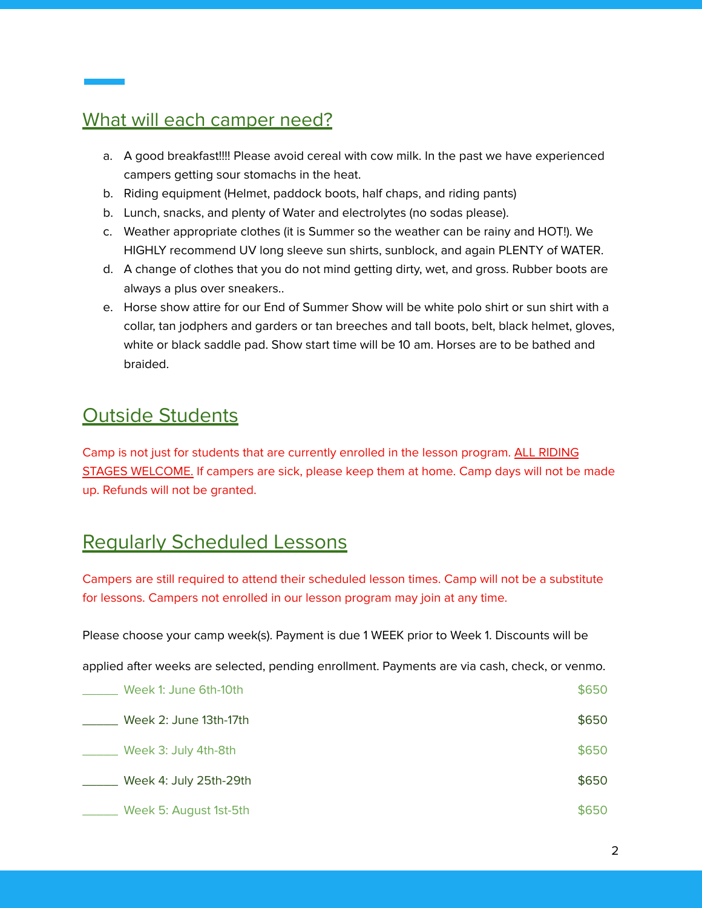#### What will each camper need?

- a. A good breakfast!!!! Please avoid cereal with cow milk. In the past we have experienced campers getting sour stomachs in the heat.
- b. Riding equipment (Helmet, paddock boots, half chaps, and riding pants)
- b. Lunch, snacks, and plenty of Water and electrolytes (no sodas please).
- c. Weather appropriate clothes (it is Summer so the weather can be rainy and HOT!). We HIGHLY recommend UV long sleeve sun shirts, sunblock, and again PLENTY of WATER.
- d. A change of clothes that you do not mind getting dirty, wet, and gross. Rubber boots are always a plus over sneakers..
- e. Horse show attire for our End of Summer Show will be white polo shirt or sun shirt with a collar, tan jodphers and garders or tan breeches and tall boots, belt, black helmet, gloves, white or black saddle pad. Show start time will be 10 am. Horses are to be bathed and braided.

#### Outside Students

Camp is not just for students that are currently enrolled in the lesson program. ALL RIDING STAGES WELCOME. If campers are sick, please keep them at home. Camp days will not be made up. Refunds will not be granted.

#### Regularly Scheduled Lessons

Campers are still required to attend their scheduled lesson times. Camp will not be a substitute for lessons. Campers not enrolled in our lesson program may join at any time.

Please choose your camp week(s). Payment is due 1 WEEK prior to Week 1. Discounts will be

applied after weeks are selected, pending enrollment. Payments are via cash, check, or venmo.

| Week 1: June 6th-10th  | \$650 |
|------------------------|-------|
| Week 2: June 13th-17th | \$650 |
| Week 3: July 4th-8th   | \$650 |
| Week 4: July 25th-29th | \$650 |
| Week 5: August 1st-5th | \$650 |